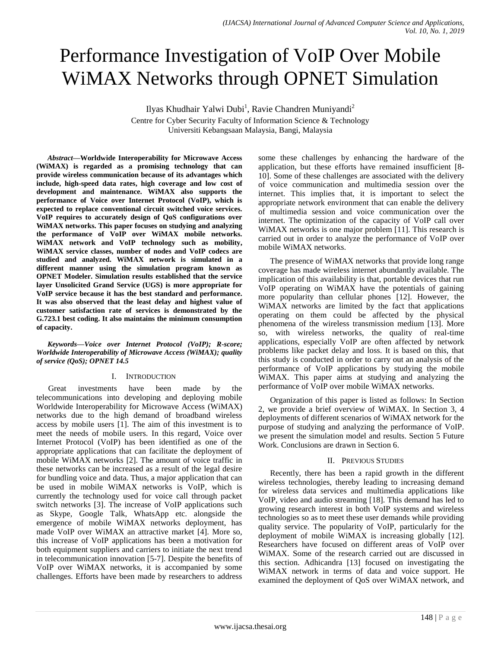# Performance Investigation of VoIP Over Mobile WiMAX Networks through OPNET Simulation

Ilyas Khudhair Yalwi Dubi<sup>1</sup>, Ravie Chandren Muniyandi<sup>2</sup>

Centre for Cyber Security Faculty of Information Science & Technology Universiti Kebangsaan Malaysia, Bangi, Malaysia

*Abstract***—Worldwide Interoperability for Microwave Access (WiMAX) is regarded as a promising technology that can provide wireless communication because of its advantages which include, high-speed data rates, high coverage and low cost of development and maintenance. WiMAX also supports the performance of Voice over Internet Protocol (VoIP), which is expected to replace conventional circuit switched voice services. VoIP requires to accurately design of QoS configurations over WiMAX networks. This paper focuses on studying and analyzing the performance of VoIP over WiMAX mobile networks. WiMAX network and VoIP technology such as mobility, WiMAX service classes, number of nodes and VoIP codecs are studied and analyzed. WiMAX network is simulated in a different manner using the simulation program known as OPNET Modeler. Simulation results established that the service layer Unsolicited Grand Service (UGS) is more appropriate for VoIP service because it has the best standard and performance. It was also observed that the least delay and highest value of customer satisfaction rate of services is demonstrated by the G.723.1 best coding. It also maintains the minimum consumption of capacity.**

*Keywords—Voice over Internet Protocol (VoIP); R-score; Worldwide Interoperability of Microwave Access (WiMAX); quality of service (QoS); OPNET 14.5*

# I. INTRODUCTION

Great investments have been made by the telecommunications into developing and deploying mobile Worldwide Interoperability for Microwave Access (WiMAX) networks due to the high demand of broadband wireless access by mobile users [1]. The aim of this investment is to meet the needs of mobile users. In this regard, Voice over Internet Protocol (VoIP) has been identified as one of the appropriate applications that can facilitate the deployment of mobile WiMAX networks [2]. The amount of voice traffic in these networks can be increased as a result of the legal desire for bundling voice and data. Thus, a major application that can be used in mobile WiMAX networks is VoIP, which is currently the technology used for voice call through packet switch networks [3]. The increase of VoIP applications such as Skype, Google Talk, WhatsApp etc. alongside the emergence of mobile WiMAX networks deployment, has made VoIP over WiMAX an attractive market [4]. More so, this increase of VoIP applications has been a motivation for both equipment suppliers and carriers to initiate the next trend in telecommunication innovation [5-7]. Despite the benefits of VoIP over WiMAX networks, it is accompanied by some challenges. Efforts have been made by researchers to address

some these challenges by enhancing the hardware of the application, but these efforts have remained insufficient [8- 10]. Some of these challenges are associated with the delivery of voice communication and multimedia session over the internet. This implies that, it is important to select the appropriate network environment that can enable the delivery of multimedia session and voice communication over the internet. The optimization of the capacity of VoIP call over WiMAX networks is one major problem [11]. This research is carried out in order to analyze the performance of VoIP over mobile WiMAX networks.

The presence of WiMAX networks that provide long range coverage has made wireless internet abundantly available. The implication of this availability is that, portable devices that run VoIP operating on WiMAX have the potentials of gaining more popularity than cellular phones [12]. However, the WiMAX networks are limited by the fact that applications operating on them could be affected by the physical phenomena of the wireless transmission medium [13]. More so, with wireless networks, the quality of real-time applications, especially VoIP are often affected by network problems like packet delay and loss. It is based on this, that this study is conducted in order to carry out an analysis of the performance of VoIP applications by studying the mobile WiMAX. This paper aims at studying and analyzing the performance of VoIP over mobile WiMAX networks.

Organization of this paper is listed as follows: In Section 2, we provide a brief overview of WiMAX. In Section 3, 4 deployments of different scenarios of WiMAX network for the purpose of studying and analyzing the performance of VoIP. we present the simulation model and results. Section 5 Future Work. Conclusions are drawn in Section 6.

# II. PREVIOUS STUDIES

Recently, there has been a rapid growth in the different wireless technologies, thereby leading to increasing demand for wireless data services and multimedia applications like VoIP, video and audio streaming [18]. This demand has led to growing research interest in both VoIP systems and wireless technologies so as to meet these user demands while providing quality service. The popularity of VoIP, particularly for the deployment of mobile WiMAX is increasing globally [12]. Researchers have focused on different areas of VoIP over WiMAX. Some of the research carried out are discussed in this section. Adhicandra [13] focused on investigating the WiMAX network in terms of data and voice support. He examined the deployment of QoS over WiMAX network, and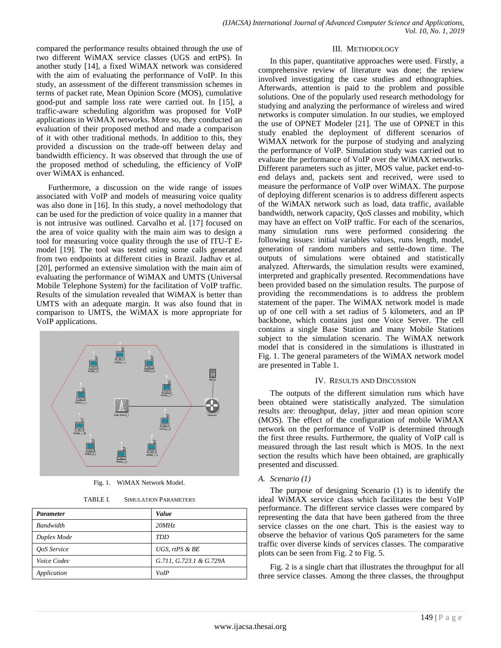compared the performance results obtained through the use of two different WiMAX service classes (UGS and ertPS). In another study [14], a fixed WiMAX network was considered with the aim of evaluating the performance of VoIP. In this study, an assessment of the different transmission schemes in terms of packet rate, Mean Opinion Score (MOS), cumulative good-put and sample loss rate were carried out. In [15], a traffic-aware scheduling algorithm was proposed for VoIP applications in WiMAX networks. More so, they conducted an evaluation of their proposed method and made a comparison of it with other traditional methods. In addition to this, they provided a discussion on the trade-off between delay and bandwidth efficiency. It was observed that through the use of the proposed method of scheduling, the efficiency of VoIP over WiMAX is enhanced.

Furthermore, a discussion on the wide range of issues associated with VoIP and models of measuring voice quality was also done in [16]. In this study, a novel methodology that can be used for the prediction of voice quality in a manner that is not intrusive was outlined. Carvalho et al. [17] focused on the area of voice quality with the main aim was to design a tool for measuring voice quality through the use of ITU-T Emodel [19]. The tool was tested using some calls generated from two endpoints at different cities in Brazil. Jadhav et al. [20], performed an extensive simulation with the main aim of evaluating the performance of WiMAX and UMTS (Universal Mobile Telephone System) for the facilitation of VoIP traffic. Results of the simulation revealed that WiMAX is better than UMTS with an adequate margin. It was also found that in comparison to UMTS, the WiMAX is more appropriate for VoIP applications.



Fig. 1. WiMAX Network Model.

TABLE I. SIMULATION PARAMETERS

| <b>Parameter</b> | Value                   |
|------------------|-------------------------|
| <b>Bandwidth</b> | 20MHz                   |
| Duplex Mode      | TDD                     |
| OoS Service      | UGS, $rtPS \& BE$       |
| Voice Codec      | G.711, G.723.1 & G.729A |
| Application      | VoIP                    |

#### III. METHODOLOGY

In this paper, quantitative approaches were used. Firstly, a comprehensive review of literature was done; the review involved investigating the case studies and ethnographies. Afterwards, attention is paid to the problem and possible solutions. One of the popularly used research methodology for studying and analyzing the performance of wireless and wired networks is computer simulation. In our studies, we employed the use of OPNET Modeler [21]. The use of OPNET in this study enabled the deployment of different scenarios of WiMAX network for the purpose of studying and analyzing the performance of VoIP. Simulation study was carried out to evaluate the performance of VoIP over the WiMAX networks. Different parameters such as jitter, MOS value, packet end-toend delays and, packets sent and received, were used to measure the performance of VoIP over WiMAX. The purpose of deploying different scenarios is to address different aspects of the WiMAX network such as load, data traffic, available bandwidth, network capacity, QoS classes and mobility, which may have an effect on VoIP traffic. For each of the scenarios, many simulation runs were performed considering the following issues: initial variables values, runs length, model, generation of random numbers and settle-down time. The outputs of simulations were obtained and statistically analyzed. Afterwards, the simulation results were examined, interpreted and graphically presented. Recommendations have been provided based on the simulation results. The purpose of providing the recommendations is to address the problem statement of the paper. The WiMAX network model is made up of one cell with a set radius of 5 kilometers, and an IP backbone, which contains just one Voice Server. The cell contains a single Base Station and many Mobile Stations subject to the simulation scenario. The WiMAX network model that is considered in the simulations is illustrated in Fig. 1. The general parameters of the WiMAX network model are presented in Table 1.

# IV. RESULTS AND DISCUSSION

The outputs of the different simulation runs which have been obtained were statistically analyzed. The simulation results are: throughput, delay, jitter and mean opinion score (MOS). The effect of the configuration of mobile WiMAX network on the performance of VoIP is determined through the first three results. Furthermore, the quality of VoIP call is measured through the last result which is MOS. In the next section the results which have been obtained, are graphically presented and discussed.

# *A. Scenario (1)*

The purpose of designing Scenario (1) is to identify the ideal WiMAX service class which facilitates the best VoIP performance. The different service classes were compared by representing the data that have been gathered from the three service classes on the one chart. This is the easiest way to observe the behavior of various QoS parameters for the same traffic over diverse kinds of services classes. The comparative plots can be seen from Fig. 2 to Fig. 5.

Fig. 2 is a single chart that illustrates the throughput for all three service classes. Among the three classes, the throughput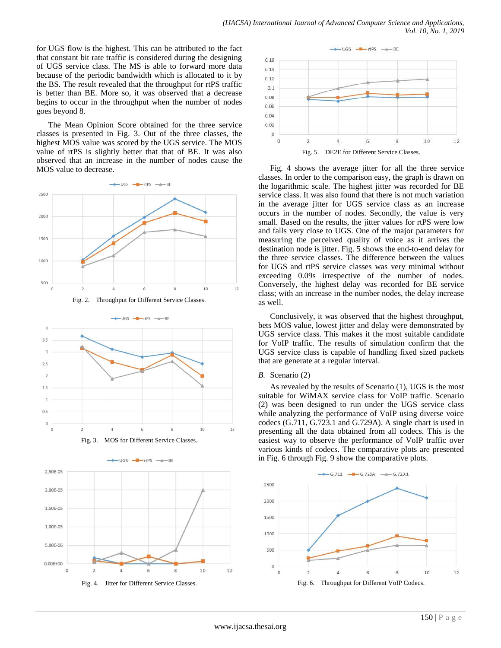for UGS flow is the highest. This can be attributed to the fact that constant bit rate traffic is considered during the designing of UGS service class. The MS is able to forward more data because of the periodic bandwidth which is allocated to it by the BS. The result revealed that the throughput for rtPS traffic is better than BE. More so, it was observed that a decrease begins to occur in the throughput when the number of nodes goes beyond 8.

The Mean Opinion Score obtained for the three service classes is presented in Fig. 3. Out of the three classes, the highest MOS value was scored by the UGS service. The MOS value of rtPS is slightly better that that of BE. It was also observed that an increase in the number of nodes cause the MOS value to decrease.





Fig. 3. MOS for Different Service Classes.

UGS  $-$  -tps  $-$ 

 $-BE$ 



Fig. 4. Jitter for Different Service Classes.



Fig. 4 shows the average jitter for all the three service classes. In order to the comparison easy, the graph is drawn on the logarithmic scale. The highest jitter was recorded for BE service class. It was also found that there is not much variation in the average jitter for UGS service class as an increase occurs in the number of nodes. Secondly, the value is very small. Based on the results, the jitter values for rtPS were low and falls very close to UGS. One of the major parameters for measuring the perceived quality of voice as it arrives the destination node is jitter. Fig. 5 shows the end-to-end delay for the three service classes. The difference between the values for UGS and rtPS service classes was very minimal without exceeding 0.09s irrespective of the number of nodes. Conversely, the highest delay was recorded for BE service class; with an increase in the number nodes, the delay increase as well.

Conclusively, it was observed that the highest throughput, bets MOS value, lowest jitter and delay were demonstrated by UGS service class. This makes it the most suitable candidate for VoIP traffic. The results of simulation confirm that the UGS service class is capable of handling fixed sized packets that are generate at a regular interval.

#### *B.* Scenario (2)

As revealed by the results of Scenario (1), UGS is the most suitable for WiMAX service class for VoIP traffic. Scenario (2) was been designed to run under the UGS service class while analyzing the performance of VoIP using diverse voice codecs (G.711, G.723.1 and G.729A). A single chart is used in presenting all the data obtained from all codecs. This is the easiest way to observe the performance of VoIP traffic over various kinds of codecs. The comparative plots are presented in Fig. 6 through Fig. 9 show the comparative plots.

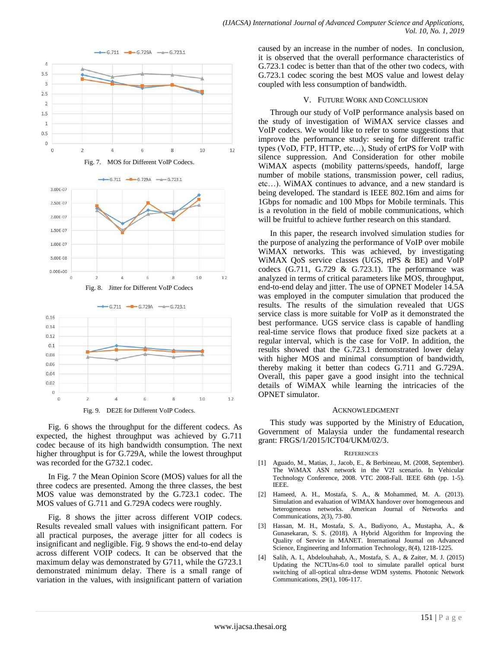







Fig. 9. DE2E for Different VoIP Codecs.

Fig. 6 shows the throughput for the different codecs. As expected, the highest throughput was achieved by G.711 codec because of its high bandwidth consumption. The next higher throughput is for G.729A, while the lowest throughput was recorded for the G732.1 codec.

In Fig. 7 the Mean Opinion Score (MOS) values for all the three codecs are presented. Among the three classes, the best MOS value was demonstrated by the G.723.1 codec. The MOS values of G.711 and G.729A codecs were roughly.

Fig. 8 shows the jitter across different VOIP codecs. Results revealed small values with insignificant pattern. For all practical purposes, the average jitter for all codecs is insignificant and negligible. Fig. 9 shows the end-to-end delay across different VOIP codecs. It can be observed that the maximum delay was demonstrated by G711, while the G723.1 demonstrated minimum delay. There is a small range of variation in the values, with insignificant pattern of variation

caused by an increase in the number of nodes. In conclusion, it is observed that the overall performance characteristics of G.723.1 codec is better than that of the other two codecs, with G.723.1 codec scoring the best MOS value and lowest delay coupled with less consumption of bandwidth.

### V. FUTURE WORK AND CONCLUSION

Through our study of VoIP performance analysis based on the study of investigation of WiMAX service classes and VoIP codecs. We would like to refer to some suggestions that improve the performance study: seeing for different traffic types (VoD, FTP, HTTP, etc…), Study of ertPS for VoIP with silence suppression. And Consideration for other mobile WiMAX aspects (mobility patterns/speeds, handoff, large number of mobile stations, transmission power, cell radius, etc…). WiMAX continues to advance, and a new standard is being developed. The standard is IEEE 802.16m and aims for 1Gbps for nomadic and 100 Mbps for Mobile terminals. This is a revolution in the field of mobile communications, which will be fruitful to achieve further research on this standard.

In this paper, the research involved simulation studies for the purpose of analyzing the performance of VoIP over mobile WiMAX networks. This was achieved, by investigating WiMAX QoS service classes (UGS, rtPS & BE) and VoIP codecs  $(G.711, G.729 \& G.723.1)$ . The performance was analyzed in terms of critical parameters like MOS, throughput, end-to-end delay and jitter. The use of OPNET Modeler 14.5A was employed in the computer simulation that produced the results. The results of the simulation revealed that UGS service class is more suitable for VoIP as it demonstrated the best performance. UGS service class is capable of handling real-time service flows that produce fixed size packets at a regular interval, which is the case for VoIP. In addition, the results showed that the G.723.1 demonstrated lower delay with higher MOS and minimal consumption of bandwidth, thereby making it better than codecs G.711 and G.729A. Overall, this paper gave a good insight into the technical details of WiMAX while learning the intricacies of the OPNET simulator.

#### ACKNOWLEDGMENT

This study was supported by the Ministry of Education, Government of Malaysia under the fundamental research grant: FRGS[/1/2015/](https://maps.google.com/?q=1/2015&entry=gmail&source=g)ICT04/UKM/02/3.

#### **REFERENCES**

- [1] Aguado, M., Matias, J., Jacob, E., & Berbineau, M. (2008, September). The WiMAX ASN network in the V2I scenario. In Vehicular Technology Conference, 2008. VTC 2008-Fall. IEEE 68th (pp. 1-5). IEEE.
- [2] Hameed, A. H., Mostafa, S. A., & Mohammed, M. A. (2013). Simulation and evaluation of WIMAX handover over homogeneous and heterogeneous networks. American Journal of Networks and Communications, 2(3), 73-80.
- [3] Hassan, M. H., Mostafa, S. A., Budiyono, A., Mustapha, A., & Gunasekaran, S. S. (2018). A Hybrid Algorithm for Improving the Quality of Service in MANET. International Journal on Advanced Science, Engineering and Information Technology, 8(4), 1218-1225.
- [4] Salih, A. I., Abdelouhahab, A., Mostafa, S. A., & Zaiter, M. J. (2015) Updating the NCTUns-6.0 tool to simulate parallel optical burst switching of all-optical ultra-dense WDM systems. Photonic Network Communications, 29(1), 106-117.